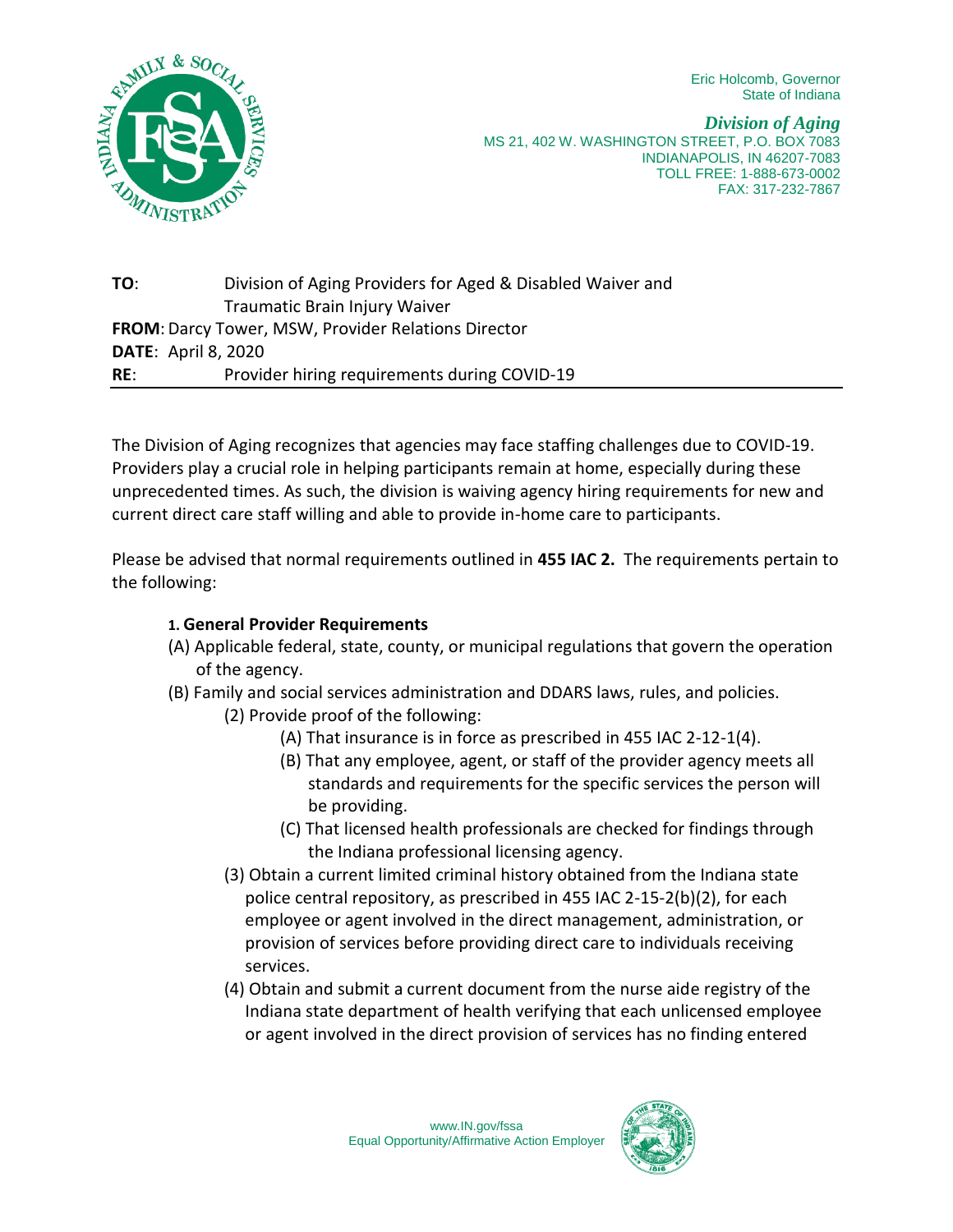Eric Holcomb, Governor State of Indiana



*Division of Aging* MS 21, 402 W. WASHINGTON STREET, P.O. BOX 7083 INDIANAPOLIS, IN 46207-7083 TOLL FREE: 1-888-673-0002 FAX: 317-232-7867

**TO**: Division of Aging Providers for Aged & Disabled Waiver and Traumatic Brain Injury Waiver **FROM**: Darcy Tower, MSW, Provider Relations Director **DATE**: April 8, 2020 **RE**: Provider hiring requirements during COVID-19

The Division of Aging recognizes that agencies may face staffing challenges due to COVID-19. Providers play a crucial role in helping participants remain at home, especially during these unprecedented times. As such, the division is waiving agency hiring requirements for new and current direct care staff willing and able to provide in-home care to participants.

Please be advised that normal requirements outlined in **455 IAC 2.** The requirements pertain to the following:

## **1. General Provider Requirements**

- (A) Applicable federal, state, county, or municipal regulations that govern the operation of the agency.
- (B) Family and social services administration and DDARS laws, rules, and policies.
	- (2) Provide proof of the following:
		- (A) That insurance is in force as prescribed in 455 IAC 2-12-1(4).
		- (B) That any employee, agent, or staff of the provider agency meets all standards and requirements for the specific services the person will be providing.
		- (C) That licensed health professionals are checked for findings through the Indiana professional licensing agency.
	- (3) Obtain a current limited criminal history obtained from the Indiana state police central repository, as prescribed in 455 IAC 2-15-2(b)(2), for each employee or agent involved in the direct management, administration, or provision of services before providing direct care to individuals receiving services.
	- (4) Obtain and submit a current document from the nurse aide registry of the Indiana state department of health verifying that each unlicensed employee or agent involved in the direct provision of services has no finding entered